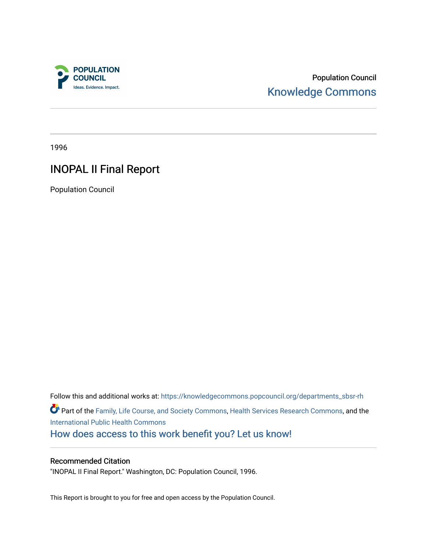

Population Council [Knowledge Commons](https://knowledgecommons.popcouncil.org/) 

1996

# INOPAL II Final Report

Population Council

Follow this and additional works at: [https://knowledgecommons.popcouncil.org/departments\\_sbsr-rh](https://knowledgecommons.popcouncil.org/departments_sbsr-rh?utm_source=knowledgecommons.popcouncil.org%2Fdepartments_sbsr-rh%2F2020&utm_medium=PDF&utm_campaign=PDFCoverPages)  Part of the [Family, Life Course, and Society Commons,](https://network.bepress.com/hgg/discipline/419?utm_source=knowledgecommons.popcouncil.org%2Fdepartments_sbsr-rh%2F2020&utm_medium=PDF&utm_campaign=PDFCoverPages) [Health Services Research Commons,](https://network.bepress.com/hgg/discipline/816?utm_source=knowledgecommons.popcouncil.org%2Fdepartments_sbsr-rh%2F2020&utm_medium=PDF&utm_campaign=PDFCoverPages) and the [International Public Health Commons](https://network.bepress.com/hgg/discipline/746?utm_source=knowledgecommons.popcouncil.org%2Fdepartments_sbsr-rh%2F2020&utm_medium=PDF&utm_campaign=PDFCoverPages)  [How does access to this work benefit you? Let us know!](https://pcouncil.wufoo.com/forms/open-access-to-population-council-research/)

## Recommended Citation

"INOPAL II Final Report." Washington, DC: Population Council, 1996.

This Report is brought to you for free and open access by the Population Council.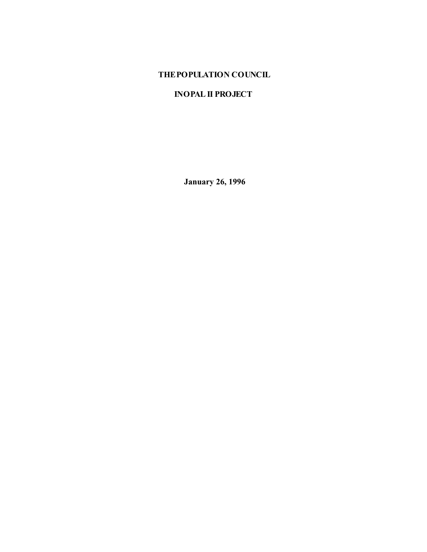## **THE POPULATION COUNCIL**

## **INOPAL II PROJECT**

 **January 26, 1996**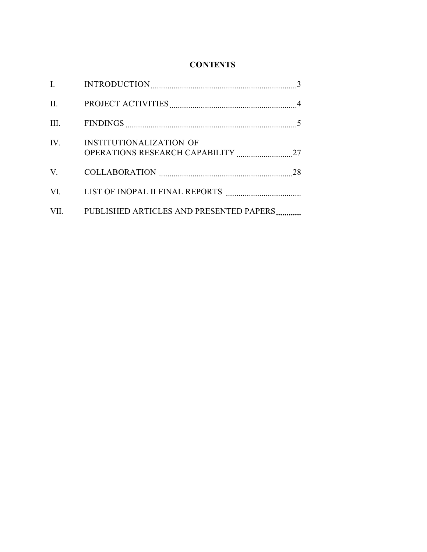## **CONTENTS**

| IV. | <b>INSTITUTIONALIZATION OF</b>               |  |
|-----|----------------------------------------------|--|
|     |                                              |  |
|     |                                              |  |
|     | VII. PUBLISHED ARTICLES AND PRESENTED PAPERS |  |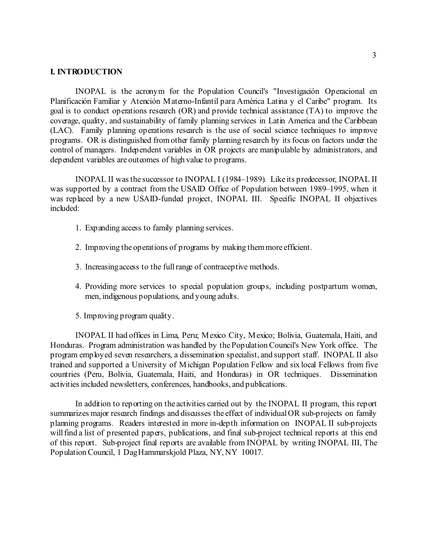#### **I. INTRODUCTION**

INOPAL is the acronym for the Population Council's "Investigación Operacional en Planificación Familiar y Atención Materno-Infantil para América Latina y el Caribe" program. Its goal is to conduct operations research (OR) and provide technical assistance (TA) to improve the coverage, quality, and sustainability of family planning services in Latin America and the Caribbean (LAC). Family planning operations research is the use of social science techniques to improve programs. OR is distinguished from other family planning research by its focus on factors under the control of managers. Independent variables in OR projects are manipulable by administrators, and dependent variables are outcomes of high value to programs.

 INOPAL II was the successor to INOPAL I (1984–1989). Like its predecessor, INOPAL II was supported by a contract from the USAID Office of Population between 1989–1995, when it was replaced by a new USAID-funded project, INOPAL III. Specific INOPAL II objectives included:

- 1. Expanding access to family planning services.
- 2. Improving the operations of programs by making them more efficient.
- 3. Increasing access to the full range of contraceptive methods.
- 4. Providing more services to special population groups, including postpartum women, men, indigenous populations, and young adults.
- 5. Improving program quality.

INOPAL II had offices in Lima, Peru; Mexico City, Mexico; Bolivia, Guatemala, Haiti, and Honduras. Program administration was handled by the Population Council's New York office. The program employed seven researchers, a dissemination specialist, and support staff. INOPAL II also trained and supported a University of Michigan Population Fellow and six local Fellows from five countries (Peru, Bolivia, Guatemala, Haiti, and Honduras) in OR techniques. Dissemination activities included newsletters, conferences, handbooks, and publications.

In addition to reporting on the activities carried out by the INOPAL II program, this report summarizes major research findings and discusses the effect of individual OR sub-projects on family planning programs. Readers interested in more in-depth information on INOPAL II sub-projects will find a list of presented papers, publications, and final sub-project technical reports at this end of this report. Sub-project final reports are available from INOPAL by writing INOPAL III, The Population Council, 1 Dag Hammarskjold Plaza, NY, NY 10017.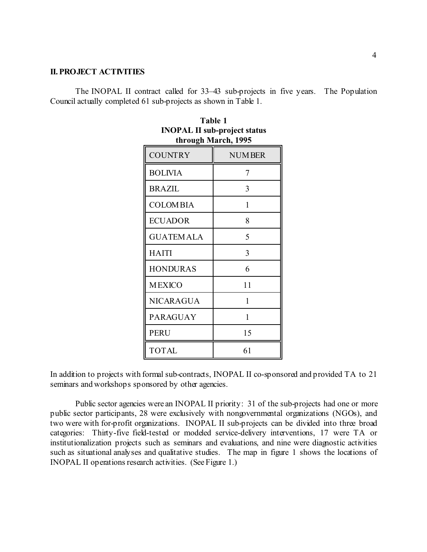#### **II. PROJECT ACTIVITIES**

The INOPAL II contract called for 33–43 sub-projects in five years. The Population Council actually completed 61 sub-projects as shown in Table 1.

| <b>COUNTRY</b>   | <b>NUMBER</b> |
|------------------|---------------|
| <b>BOLIVIA</b>   | 7             |
| <b>BRAZIL</b>    | 3             |
| <b>COLOMBIA</b>  | $\mathbf{1}$  |
| <b>ECUADOR</b>   | 8             |
| <b>GUATEMALA</b> | 5             |
| <b>HAITI</b>     | 3             |
| <b>HONDURAS</b>  | 6             |
| <b>MEXICO</b>    | 11            |
| <b>NICARAGUA</b> | $\mathbf{1}$  |
| <b>PARAGUAY</b>  | $\mathbf{1}$  |
| <b>PERU</b>      | 15            |
| TOTAL            | 61            |

| Table 1                             |
|-------------------------------------|
| <b>INOPAL II sub-project status</b> |
| through March, 1995                 |

In addition to projects with formal sub-contracts, INOPAL II co-sponsored and provided TA to 21 seminars and workshops sponsored by other agencies.

Public sector agencies were an INOPAL II priority: 31 of the sub-projects had one or more public sector participants, 28 were exclusively with nongovernmental organizations (NGOs), and two were with for-profit organizations. INOPAL II sub-projects can be divided into three broad categories: Thirty-five field-tested or modeled service-delivery interventions, 17 were TA or institutionalization projects such as seminars and evaluations, and nine were diagnostic activities such as situational analyses and qualitative studies. The map in figure 1 shows the locations of INOPAL II operations research activities. (See Figure 1.)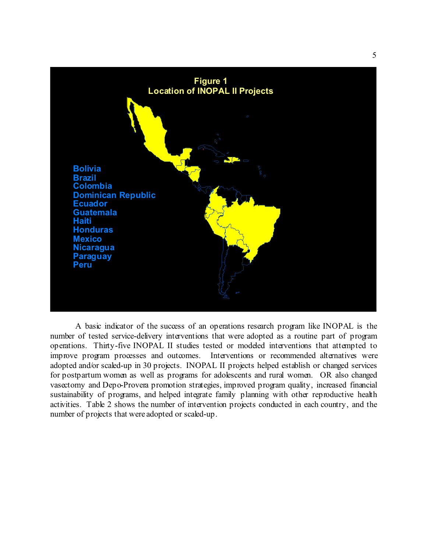

A basic indicator of the success of an operations research program like INOPAL is the number of tested service-delivery interventions that were adopted as a routine part of program operations. Thirty-five INOPAL II studies tested or modeled interventions that attempted to improve program processes and outcomes. Interventions or recommended alternatives were adopted and/or scaled-up in 30 projects. INOPAL II projects helped establish or changed services for postpartum women as well as programs for adolescents and rural women. OR also changed vasectomy and Depo-Provera promotion strategies, improved program quality, increased financial sustainability of programs, and helped integrate family planning with other reproductive health activities. Table 2 shows the number of intervention projects conducted in each country, and the number of projects that were adopted or scaled-up.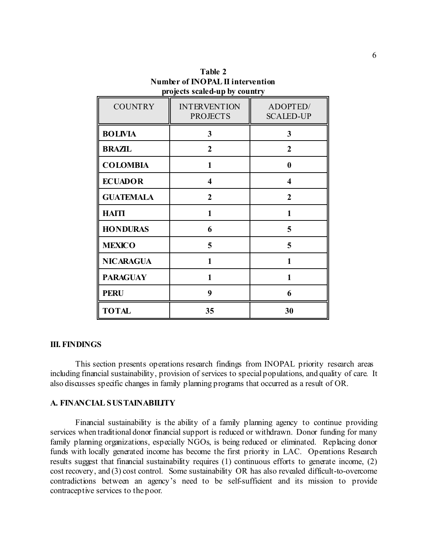| <b>COUNTRY</b>   | <b>INTERVENTION</b><br><b>PROJECTS</b> | ADOPTED/<br><b>SCALED-UP</b> |
|------------------|----------------------------------------|------------------------------|
| <b>BOLIVIA</b>   | 3                                      | 3                            |
| <b>BRAZIL</b>    | $\overline{2}$                         | $\overline{2}$               |
| <b>COLOMBIA</b>  | 1                                      | 0                            |
| <b>ECUADOR</b>   | $\overline{\mathbf{4}}$                | $\overline{\mathbf{4}}$      |
| <b>GUATEMALA</b> | $\overline{2}$                         | $\overline{2}$               |
| <b>HAITI</b>     | 1                                      | 1                            |
| <b>HONDURAS</b>  | 6                                      | 5                            |
| <b>MEXICO</b>    | 5                                      | 5                            |
| <b>NICARAGUA</b> | 1                                      | 1                            |
| <b>PARAGUAY</b>  | 1                                      | 1                            |
| <b>PERU</b>      | 9                                      | 6                            |
| <b>TOTAL</b>     | 35                                     | 30                           |

**Table 2 Number of INOPAL II intervention projects scaled-up by country**

#### **III. FINDINGS**

This section presents operations research findings from INOPAL priority research areas including financial sustainability, provision of services to special populations, and quality of care. It also discusses specific changes in family planning programs that occurred as a result of OR.

## **A. FINANCIAL SUSTAINABILITY**

Financial sustainability is the ability of a family planning agency to continue providing services when traditional donor financial support is reduced or withdrawn. Donor funding for many family planning organizations, especially NGOs, is being reduced or eliminated. Replacing donor funds with locally generated income has become the first priority in LAC. Operations Research results suggest that financial sustainability requires (1) continuous efforts to generate income, (2) cost recovery, and (3) cost control. Some sustainability OR has also revealed difficult-to-overcome contradictions between an agency's need to be self-sufficient and its mission to provide contraceptive services to the poor.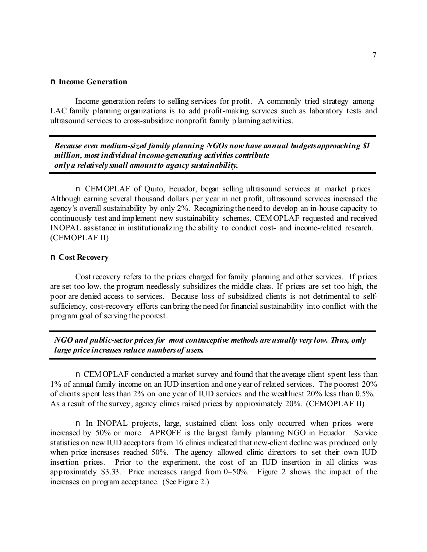#### n **Income Generation**

Income generation refers to selling services for profit. A commonly tried strategy among LAC family planning organizations is to add profit-making services such as laboratory tests and ultrasound services to cross-subsidize nonprofit family planning activities.

*Because even medium-sized family planning NGOs now have annual budgets approaching \$1 million, most individual income-generating activities contribute only a relatively small amount to agency sustainability.*

n CEMOPLAF of Quito, Ecuador, began selling ultrasound services at market prices. Although earning several thousand dollars per year in net profit, ultrasound services increased the agency's overall sustainability by only 2%. Recognizing the need to develop an in-house capacity to continuously test and implement new sustainability schemes, CEMOPLAF requested and received INOPAL assistance in institutionalizing the ability to conduct cost- and income-related research. (CEMOPLAF II)

#### n **Cost Recovery**

Cost recovery refers to the prices charged for family planning and other services. If prices are set too low, the program needlessly subsidizes the middle class. If prices are set too high, the poor are denied access to services. Because loss of subsidized clients is not detrimental to selfsufficiency, cost-recovery efforts can bring the need for financial sustainability into conflict with the program goal of serving the poorest.

*NGO and public-sector prices for most contraceptive methods are usually very low. Thus, only large price increases reduce numbers of users.*

n CEMOPLAF conducted a market survey and found that the average client spent less than 1% of annual family income on an IUD insertion and one year of related services. The poorest 20% of clients spent less than 2% on one year of IUD services and the wealthiest 20% less than 0.5%. As a result of the survey, agency clinics raised prices by approximately 20%. (CEMOPLAF II)

n In INOPAL projects, large, sustained client loss only occurred when prices were increased by 50% or more. APROFE is the largest family planning NGO in Ecuador. Service statistics on new IUD acceptors from 16 clinics indicated that new-client decline was produced only when price increases reached 50%. The agency allowed clinic directors to set their own IUD insertion prices. Prior to the experiment, the cost of an IUD insertion in all clinics was approximately \$3.33. Price increases ranged from 0–50%. Figure 2 shows the impact of the increases on program acceptance. (See Figure 2.)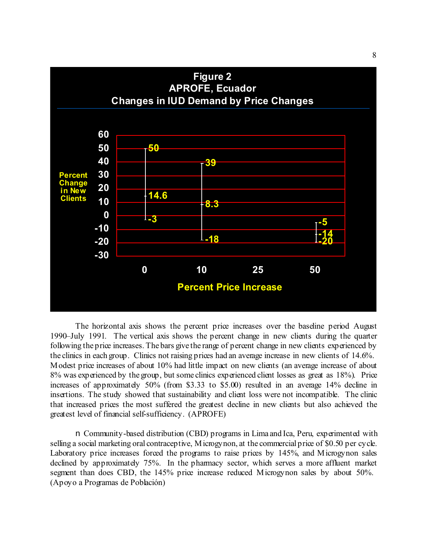

The horizontal axis shows the percent price increases over the baseline period August 1990–July 1991. The vertical axis shows the percent change in new clients during the quarter following the price increases. The bars give the range of percent change in new clients experienced by the clinics in each group. Clinics not raising prices had an average increase in new clients of 14.6%. Modest price increases of about 10% had little impact on new clients (an average increase of about 8% was experienced by the group, but some clinics experienced client losses as great as 18%). Price increases of approximately 50% (from \$3.33 to \$5.00) resulted in an average 14% decline in insertions. The study showed that sustainability and client loss were not incompatible. The clinic that increased prices the most suffered the greatest decline in new clients but also achieved the greatest level of financial self-sufficiency. (APROFE)

n Community-based distribution (CBD) programs in Lima and Ica, Peru, experimented with selling a social marketing oral contraceptive, Microgynon, at the commercial price of \$0.50 per cycle. Laboratory price increases forced the programs to raise prices by 145%, and Microgynon sales declined by approximately 75%. In the pharmacy sector, which serves a more affluent market segment than does CBD, the 145% price increase reduced Microgynon sales by about 50%. (Apoyo a Programas de Población)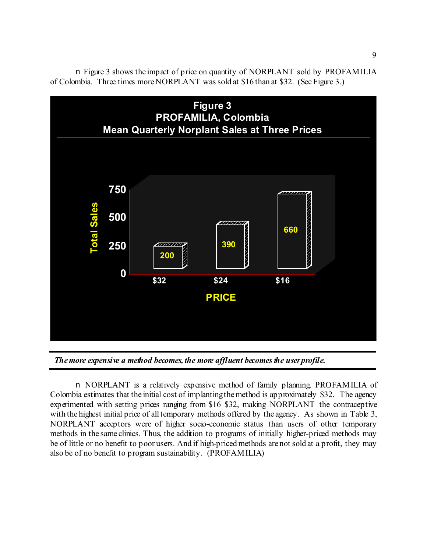

n Figure 3 shows the impact of price on quantity of NORPLANT sold by PROFAMILIA of Colombia. Three times more NORPLANT was sold at \$16 than at \$32. (See Figure 3.)

*The more expensive a method becomes, the more affluent becomes the user profile.*

n NORPLANT is a relatively expensive method of family planning. PROFAMILIA of Colombia estimates that the initial cost of implanting the method is approximately \$32. The agency experimented with setting prices ranging from \$16–\$32, making NORPLANT the contraceptive with the highest initial price of all temporary methods offered by the agency. As shown in Table 3, NORPLANT acceptors were of higher socio-economic status than users of other temporary methods in the same clinics. Thus, the addition to programs of initially higher-priced methods may be of little or no benefit to poor users. And if high-priced methods are not sold at a profit, they may also be of no benefit to program sustainability. (PROFAMILIA)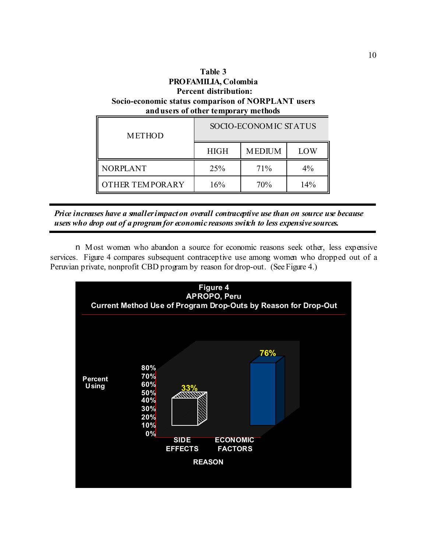| Table 3<br>PROFAMILIA, Colombia<br><b>Percent distribution:</b><br>Socio-economic status comparison of NORPLANT users<br>and users of other temporary methods |             |               |     |  |
|---------------------------------------------------------------------------------------------------------------------------------------------------------------|-------------|---------------|-----|--|
| SOCIO-ECONOMIC STATUS<br><b>METHOD</b>                                                                                                                        |             |               |     |  |
|                                                                                                                                                               | <b>HIGH</b> | <b>MEDIUM</b> | LOW |  |
|                                                                                                                                                               |             |               |     |  |

| Price increases have a smaller impact on overall contraceptive use than on source use because |  |
|-----------------------------------------------------------------------------------------------|--|
| users who drop out of a program for economic reasons switch to less expensive sources.        |  |

NORPLANT 25% 71% 4%

OTHER TEMPORARY | 16% | 70% | 14%

n Most women who abandon a source for economic reasons seek other, less expensive services. Figure 4 compares subsequent contraceptive use among women who dropped out of a Peruvian private, nonprofit CBD program by reason for drop-out. (See Figure 4.)

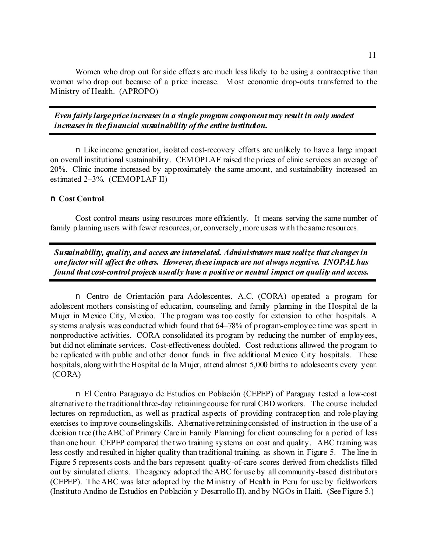Women who drop out for side effects are much less likely to be using a contraceptive than women who drop out because of a price increase. Most economic drop-outs transferred to the Ministry of Health. (APROPO)

*Even fairly large price increases in a single program component may result in only modest increases in the financial sustainability of the entire institution.*

n Like income generation, isolated cost-recovery efforts are unlikely to have a large impact on overall institutional sustainability. CEMOPLAF raised the prices of clinic services an average of 20%. Clinic income increased by approximately the same amount, and sustainability increased an estimated 2–3%. (CEMOPLAF II)

#### n **Cost Control**

Cost control means using resources more efficiently. It means serving the same number of family planning users with fewer resources, or, conversely, more users with the same resources.

*Sustainability, quality, and access are interrelated. Administrators must realize that changes in one factor will affect the others. However, these impacts are not always negative. INOPAL has found that cost-control projects usually have a positive or neutral impact on quality and access.*

n Centro de Orientación para Adolescentes, A.C. (CORA) operated a program for adolescent mothers consisting of education, counseling, and family planning in the Hospital de la Mujer in Mexico City, Mexico. The program was too costly for extension to other hospitals. A systems analysis was conducted which found that 64–78% of program-employee time was spent in nonproductive activities. CORA consolidated its program by reducing the number of employees, but did not eliminate services. Cost-effectiveness doubled. Cost reductions allowed the program to be replicated with public and other donor funds in five additional Mexico City hospitals. These hospitals, along with the Hospital de la Mujer, attend almost 5,000 births to adolescents every year. (CORA)

n El Centro Paraguayo de Estudios en Población (CEPEP) of Paraguay tested a low-cost alternative to the traditional three-day retraining course for rural CBD workers. The course included lectures on reproduction, as well as practical aspects of providing contraception and role-playing exercises to improve counseling skills. Alternative retraining consisted of instruction in the use of a decision tree (the ABC of Primary Care in Family Planning) for client counseling for a period of less than one hour. CEPEP compared the two training systems on cost and quality. ABC training was less costly and resulted in higher quality than traditional training, as shown in Figure 5. The line in Figure 5 represents costs and the bars represent quality-of-care scores derived from checklists filled out by simulated clients. The agency adopted the ABC for use by all community-based distributors (CEPEP). The ABC was later adopted by the Ministry of Health in Peru for use by fieldworkers (Instituto Andino de Estudios en Población y Desarrollo II), and by NGOs in Haiti. (See Figure 5.)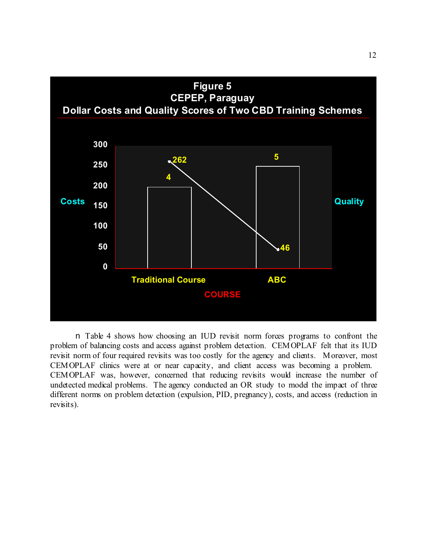

n Table 4 shows how choosing an IUD revisit norm forces programs to confront the problem of balancing costs and access against problem detection. CEMOPLAF felt that its IUD revisit norm of four required revisits was too costly for the agency and clients. Moreover, most CEMOPLAF clinics were at or near capacity, and client access was becoming a problem. CEMOPLAF was, however, concerned that reducing revisits would increase the number of undetected medical problems. The agency conducted an OR study to model the impact of three different norms on problem detection (expulsion, PID, pregnancy), costs, and access (reduction in revisits).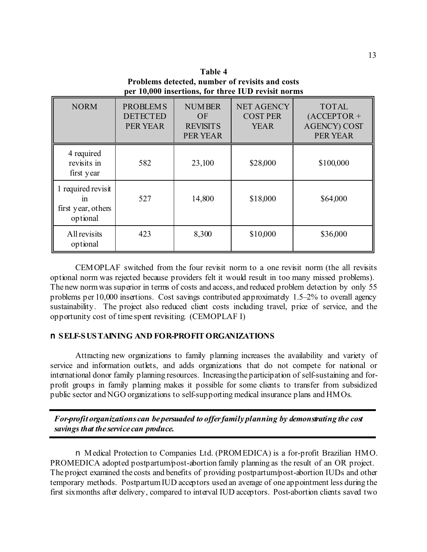**Table 4 Problems detected, number of revisits and costs per 10,000 insertions, for three IUD revisit norms**

| <b>NORM</b>                                                | <b>PROBLEMS</b><br><b>DETECTED</b><br>PER YEAR | <b>NUMBER</b><br>OF<br><b>REVISITS</b><br>PER YEAR | <b>NET AGENCY</b><br><b>COST PER</b><br><b>YEAR</b> | <b>TOTAL</b><br>$(ACCEPTOR +$<br><b>AGENCY) COST</b><br><b>PER YEAR</b> |
|------------------------------------------------------------|------------------------------------------------|----------------------------------------------------|-----------------------------------------------------|-------------------------------------------------------------------------|
| 4 required<br>revisits in<br>first year                    | 582                                            | 23,100                                             | \$28,000                                            | \$100,000                                                               |
| 1 required revisit<br>1n<br>first year, others<br>optional | 527                                            | 14,800                                             | \$18,000                                            | \$64,000                                                                |
| All revisits<br>optional                                   | 423                                            | 8,300                                              | \$10,000                                            | \$36,000                                                                |

CEMOPLAF switched from the four revisit norm to a one revisit norm (the all revisits optional norm was rejected because providers felt it would result in too many missed problems). The new norm was superior in terms of costs and access, and reduced problem detection by only 55 problems per 10,000 insertions. Cost savings contributed approximately 1.5–2% to overall agency sustainability. The project also reduced client costs including travel, price of service, and the opportunity cost of time spent revisiting. (CEMOPLAF I)

#### n **SELF-SUSTAINING AND FOR-PROFIT ORGANIZATIONS**

Attracting new organizations to family planning increases the availability and variety of service and information outlets, and adds organizations that do not compete for national or international donor family planning resources. Increasing the participation of self-sustaining and forprofit groups in family planning makes it possible for some clients to transfer from subsidized public sector and NGO organizations to self-supporting medical insurance plans and HMOs.

*For-profit organizations can be persuaded to offer family planning by demonstrating the cost savings that the service can produce.*

n Medical Protection to Companies Ltd. (PROMEDICA) is a for-profit Brazilian HMO. PROMEDICA adopted postpartum/post-abortion family planning as the result of an OR project. The project examined the costs and benefits of providing postpartum/post-abortion IUDs and other temporary methods. Postpartum IUD acceptors used an average of one appointment less during the first six months after delivery, compared to interval IUD acceptors. Post-abortion clients saved two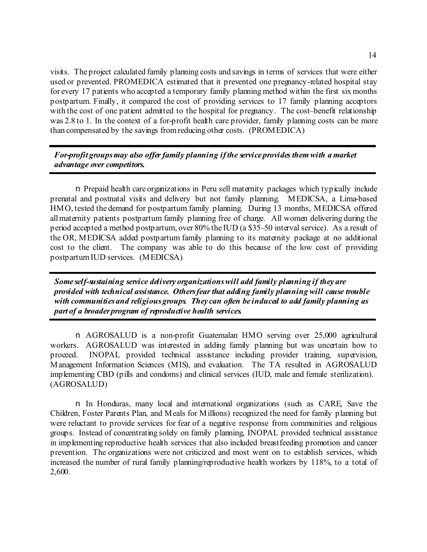visits. The project calculated family planning costs and savings in terms of services that were either used or prevented. PROMEDICA estimated that it prevented one pregnancy-related hospital stay for every 17 patients who accepted a temporary family planning method within the first six months postpartum. Finally, it compared the cost of providing services to 17 family planning acceptors with the cost of one patient admitted to the hospital for pregnancy. The cost-benefit relationship was 2.8 to 1. In the context of a for-profit health care provider, family planning costs can be more than compensated by the savings from reducing other costs. (PROMEDICA)

## *For-profit groups may also offer family planning if the service provides them with a market advantage over competitors.*

n Prepaid health care organizations in Peru sell maternity packages which typically include prenatal and postnatal visits and delivery but not family planning. MEDICSA, a Lima-based HMO, tested the demand for postpartum family planning. During 13 months, MEDICSA offered all maternity patients postpartum family planning free of charge. All women delivering during the period accepted a method postpartum, over 80% the IUD (a \$35–50 interval service). As a result of the OR, MEDICSA added postpartum family planning to its maternity package at no additional cost to the client. The company was able to do this because of the low cost of providing postpartum IUD services. (MEDICSA)

*Some self-sustaining service delivery organizations will add family planning if they are provided with technical assistance. Others fear that adding family planning will cause trouble with communities and religious groups. They can often be induced to add family planning as part of a broader program of reproductive health services.*

n AGROSALUD is a non-profit Guatemalan HMO serving over 25,000 agricultural workers. AGROSALUD was interested in adding family planning but was uncertain how to proceed. INOPAL provided technical assistance including provider training, supervision, Management Information Sciences (MIS), and evaluation. The TA resulted in AGROSALUD implementing CBD (pills and condoms) and clinical services (IUD, male and female sterilization). (AGROSALUD)

n In Honduras, many local and international organizations (such as CARE, Save the Children, Foster Parents Plan, and Meals for Millions) recognized the need for family planning but were reluctant to provide services for fear of a negative response from communities and religious groups. Instead of concentrating solely on family planning, INOPAL provided technical assistance in implementing reproductive health services that also included breastfeeding promotion and cancer prevention. The organizations were not criticized and most went on to establish services, which increased the number of rural family planning/reproductive health workers by 118%, to a total of 2,600.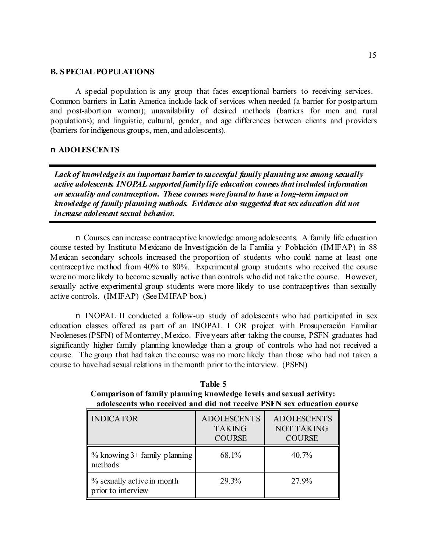#### **B. SPECIAL POPULATIONS**

A special population is any group that faces exceptional barriers to receiving services. Common barriers in Latin America include lack of services when needed (a barrier for postpartum and post-abortion women); unavailability of desired methods (barriers for men and rural populations); and linguistic, cultural, gender, and age differences between clients and providers (barriers for indigenous groups, men, and adolescents).

## n **ADOLESCENTS**

*Lack of knowledge is an important barrier to successful family planning use among sexually active adolescents. INOPAL supported family life education courses that included information on sexuality and contraception. These courses were found to have a long-term impact on knowledge of family planning methods. Evidence also suggested that sex education did not increase adolescent sexual behavior.*

n Courses can increase contraceptive knowledge among adolescents. A family life education course tested by Instituto Mexicano de Investigación de la Familia y Población (IMIFAP) in 88 Mexican secondary schools increased the proportion of students who could name at least one contraceptive method from 40% to 80%. Experimental group students who received the course were no more likely to become sexually active than controls who did not take the course. However, sexually active experimental group students were more likely to use contraceptives than sexually active controls. (IMIFAP) (See IMIFAP box.)

n INOPAL II conducted a follow-up study of adolescents who had participated in sex education classes offered as part of an INOPAL I OR project with Prosuperación Familiar Neoleneses (PSFN) of Monterrey, Mexico. Five years after taking the course, PSFN graduates had significantly higher family planning knowledge than a group of controls who had not received a course. The group that had taken the course was no more likely than those who had not taken a course to have had sexual relations in the month prior to the interview. (PSFN)

**Table 5 Comparison of family planning knowledge levels and sexual activity: adolescents who received and did not receive PSFN sex education course**

| <b>INDICATOR</b>                                 | <b>ADOLESCENTS</b><br><b>TAKING</b><br><b>COURSE</b> | <b>ADOLESCENTS</b><br><b>NOT TAKING</b><br><b>COURSE</b> |
|--------------------------------------------------|------------------------------------------------------|----------------------------------------------------------|
| $\%$ knowing 3+ family planning<br>methods       | 68.1%                                                | 40.7%                                                    |
| % sexually active in month<br>prior to interview | 29.3%                                                | 27.9%                                                    |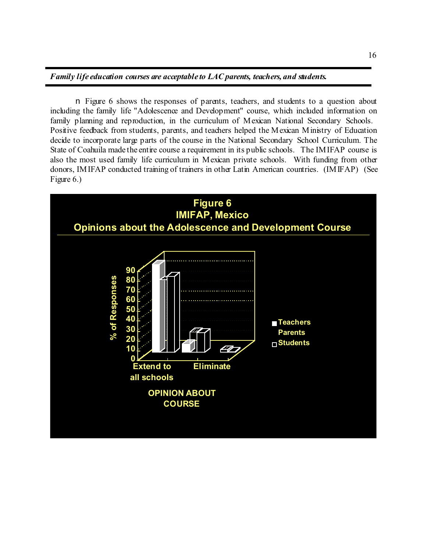### *Family life education courses are acceptable to LAC parents, teachers, and students.*

n Figure 6 shows the responses of parents, teachers, and students to a question about including the family life "Adolescence and Development" course, which included information on family planning and reproduction, in the curriculum of Mexican National Secondary Schools. Positive feedback from students, parents, and teachers helped the Mexican Ministry of Education decide to incorporate large parts of the course in the National Secondary School Curriculum. The State of Coahuila made the entire course a requirement in its public schools. The IMIFAP course is also the most used family life curriculum in Mexican private schools. With funding from other donors, IMIFAP conducted training of trainers in other Latin American countries. (IMIFAP) (See Figure 6.)

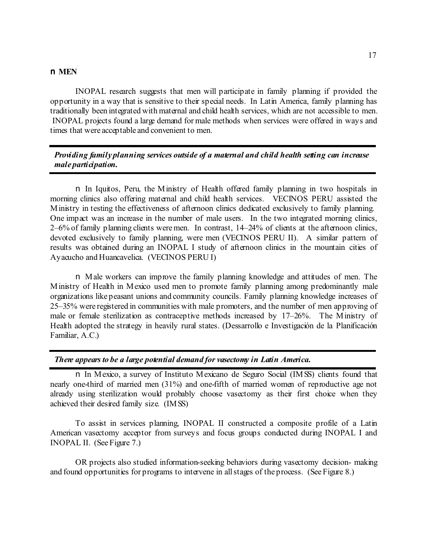#### n **MEN**

INOPAL research suggests that men will participate in family planning if provided the opportunity in a way that is sensitive to their special needs. In Latin America, family planning has traditionally been integrated with maternal and child health services, which are not accessible to men. INOPAL projects found a large demand for male methods when services were offered in ways and times that were acceptable and convenient to men.

*Providing family planning services outside of a maternal and child health setting can increase male participation.*

n In Iquitos, Peru, the Ministry of Health offered family planning in two hospitals in morning clinics also offering maternal and child health services. VECINOS PERU assisted the Ministry in testing the effectiveness of afternoon clinics dedicated exclusively to family planning. One impact was an increase in the number of male users. In the two integrated morning clinics, 2–6% of family planning clients were men. In contrast, 14–24% of clients at the afternoon clinics, devoted exclusively to family planning, were men (VECINOS PERU II). A similar pattern of results was obtained during an INOPAL I study of afternoon clinics in the mountain cities of Ayacucho and Huancavelica. (VECINOS PERU I)

n Male workers can improve the family planning knowledge and attitudes of men. The Ministry of Health in Mexico used men to promote family planning among predominantly male organizations like peasant unions and community councils. Family planning knowledge increases of 25–35% were registered in communities with male promoters, and the number of men approving of male or female sterilization as contraceptive methods increased by 17–26%. The Ministry of Health adopted the strategy in heavily rural states. (Dessarrollo e Investigación de la Planificación Familiar, A.C.)

*There appears to be a large potential demand for vasectomy in Latin America.*

n In Mexico, a survey of Instituto Mexicano de Seguro Social (IMSS) clients found that nearly one-third of married men (31%) and one-fifth of married women of reproductive age not already using sterilization would probably choose vasectomy as their first choice when they achieved their desired family size. (IMSS)

To assist in services planning, INOPAL II constructed a composite profile of a Latin American vasectomy acceptor from surveys and focus groups conducted during INOPAL I and INOPAL II. (See Figure 7.)

OR projects also studied information-seeking behaviors during vasectomy decision- making and found opportunities for programs to intervene in all stages of the process. (See Figure 8.)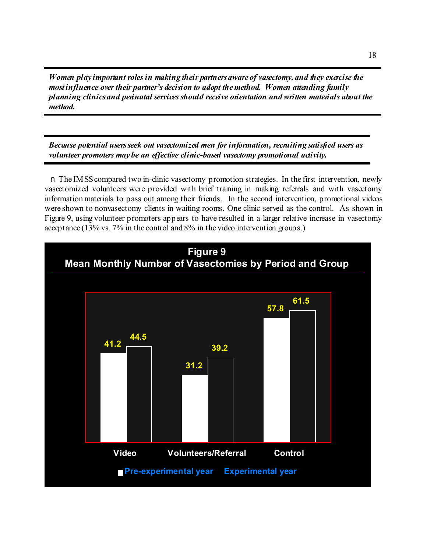*Women play important roles in making their partners aware of vasectomy, and they exercise the most influence over their partner's decision to adopt the method. Women attending family planning clinics and perinatal services should receive orientation and written materials about the method.*

*Because potential users seek out vasectomized men for information, recruiting satisfied users as volunteer promoters may be an effective clinic-based vasectomy promotional activity.*

n The IMSS compared two in-clinic vasectomy promotion strategies. In the first intervention, newly vasectomized volunteers were provided with brief training in making referrals and with vasectomy information materials to pass out among their friends. In the second intervention, promotional videos were shown to nonvasectomy clients in waiting rooms. One clinic served as the control. As shown in Figure 9, using volunteer promoters appears to have resulted in a larger relative increase in vasectomy acceptance (13% vs. 7% in the control and 8% in the video intervention groups.)

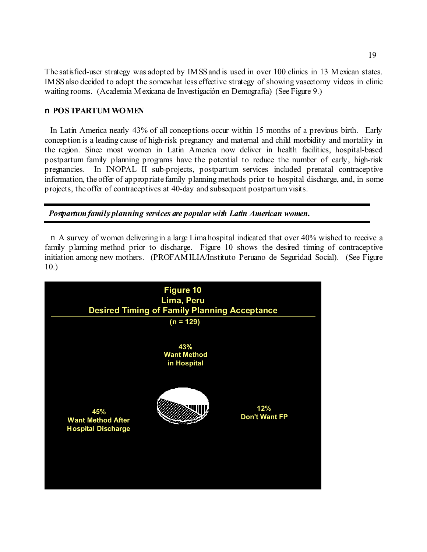The satisfied-user strategy was adopted by IMSS and is used in over 100 clinics in 13 Mexican states. IMSS also decided to adopt the somewhat less effective strategy of showing vasectomy videos in clinic waiting rooms. (Academia Mexicana de Investigación en Demografía) (See Figure 9.)

## n **POSTPARTUM WOMEN**

In Latin America nearly 43% of all conceptions occur within 15 months of a previous birth. Early conception is a leading cause of high-risk pregnancy and maternal and child morbidity and mortality in the region. Since most women in Latin America now deliver in health facilities, hospital-based postpartum family planning programs have the potential to reduce the number of early, high-risk pregnancies. In INOPAL II sub-projects, postpartum services included prenatal contraceptive information, the offer of appropriate family planning methods prior to hospital discharge, and, in some projects, the offer of contraceptives at 40-day and subsequent postpartum visits.

*Postpartum family planning services are popular with Latin American women.*

n A survey of women delivering in a large Lima hospital indicated that over 40% wished to receive a family planning method prior to discharge. Figure 10 shows the desired timing of contraceptive initiation among new mothers. (PROFAMILIA/Instituto Peruano de Seguridad Social). (See Figure 10.)

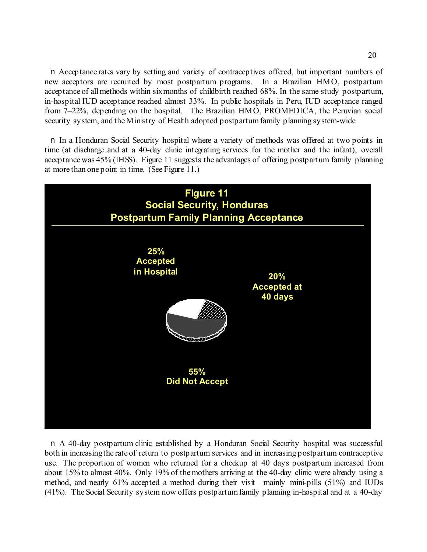n Acceptance rates vary by setting and variety of contraceptives offered, but important numbers of new acceptors are recruited by most postpartum programs. In a Brazilian HMO, postpartum acceptance of all methods within six months of childbirth reached 68%. In the same study postpartum, in-hospital IUD acceptance reached almost 33%. In public hospitals in Peru, IUD acceptance ranged from 7–22%, depending on the hospital. The Brazilian HMO, PROMEDICA, the Peruvian social security system, and the Ministry of Health adopted postpartum family planning system-wide.

n In a Honduran Social Security hospital where a variety of methods was offered at two points in time (at discharge and at a 40-day clinic integrating services for the mother and the infant), overall acceptance was 45% (IHSS). Figure 11 suggests the advantages of offering postpartum family planning at more than one point in time. (See Figure 11.)



n A 40-day postpartum clinic established by a Honduran Social Security hospital was successful both in increasing the rate of return to postpartum services and in increasing postpartum contraceptive use. The proportion of women who returned for a checkup at 40 days postpartum increased from about 15% to almost 40%. Only 19% of the mothers arriving at the 40-day clinic were already using a method, and nearly 61% accepted a method during their visit—mainly mini-pills (51%) and IUDs (41%). The Social Security system now offers postpartum family planning in-hospital and at a 40-day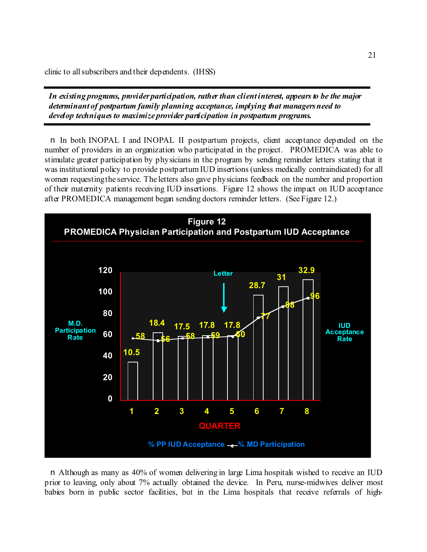clinic to all subscribers and their dependents. (IHSS)

*In existing programs, provider participation, rather than client interest, appears to be the major determinant of postpartum family planning acceptance, implying that managers need to develop techniques to maximize provider participation in postpartum programs.*

n In both INOPAL I and INOPAL II postpartum projects, client acceptance depended on the number of providers in an organization who participated in the project. PROMEDICA was able to stimulate greater participation by physicians in the program by sending reminder letters stating that it was institutional policy to provide postpartum IUD insertions (unless medically contraindicated) for all women requesting the service. The letters also gave physicians feedback on the number and proportion of their maternity patients receiving IUD insertions. Figure 12 shows the impact on IUD acceptance after PROMEDICA management began sending doctors reminder letters. (See Figure 12.)



n Although as many as 40% of women delivering in large Lima hospitals wished to receive an IUD prior to leaving, only about 7% actually obtained the device. In Peru, nurse-midwives deliver most babies born in public sector facilities, but in the Lima hospitals that receive referrals of high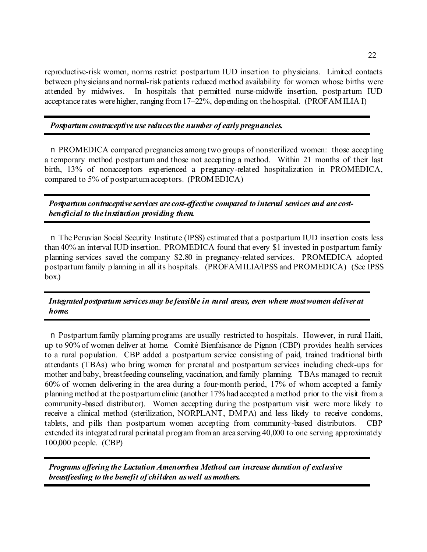reproductive-risk women, norms restrict postpartum IUD insertion to physicians. Limited contacts between physicians and normal-risk patients reduced method availability for women whose births were attended by midwives. In hospitals that permitted nurse-midwife insertion, postpartum IUD acceptance rates were higher, ranging from 17–22%, depending on the hospital. (PROFAMILIA I)

*Postpartum contraceptive use reduces the number of early pregnancies.*

n PROMEDICA compared pregnancies among two groups of nonsterilized women: those accepting a temporary method postpartum and those not accepting a method. Within 21 months of their last birth, 13% of nonacceptors experienced a pregnancy-related hospitalization in PROMEDICA, compared to 5% of postpartum acceptors. (PROMEDICA)

*Postpartum contraceptive services are cost-effective compared to interval services and are costbeneficial to the institution providing them.*

n The Peruvian Social Security Institute (IPSS) estimated that a postpartum IUD insertion costs less than 40% an interval IUD insertion. PROMEDICA found that every \$1 invested in postpartum family planning services saved the company \$2.80 in pregnancy-related services. PROMEDICA adopted postpartum family planning in all its hospitals. (PROFAMILIA/IPSS and PROMEDICA) (See IPSS box.)

## *Integrated postpartum services may be feasible in rural areas, even where most women deliver at home.*

n Postpartum family planning programs are usually restricted to hospitals. However, in rural Haiti, up to 90% of women deliver at home. Comité Bienfaisance de Pignon (CBP) provides health services to a rural population. CBP added a postpartum service consisting of paid, trained traditional birth attendants (TBAs) who bring women for prenatal and postpartum services including check-ups for mother and baby, breastfeeding counseling, vaccination, and family planning. TBAs managed to recruit 60% of women delivering in the area during a four-month period, 17% of whom accepted a family planning method at the postpartum clinic (another 17% had accepted a method prior to the visit from a community-based distributor). Women accepting during the postpartum visit were more likely to receive a clinical method (sterilization, NORPLANT, DMPA) and less likely to receive condoms, tablets, and pills than postpartum women accepting from community-based distributors. CBP extended its integrated rural perinatal program from an area serving 40,000 to one serving approximately 100,000 people. (CBP)

*Programs offering the Lactation Amenorrhea Method can increase duration of exclusive breastfeeding to the benefit of children as well as mothers.*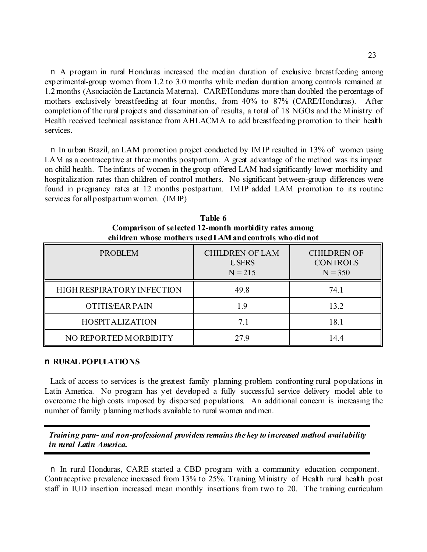n A program in rural Honduras increased the median duration of exclusive breastfeeding among experimental-group women from 1.2 to 3.0 months while median duration among controls remained at 1.2 months (Asociación de Lactancia Materna). CARE/Honduras more than doubled the percentage of mothers exclusively breastfeeding at four months, from 40% to 87% (CARE/Honduras). After completion of the rural projects and dissemination of results, a total of 18 NGOs and the Ministry of Health received technical assistance from AHLACMA to add breastfeeding promotion to their health services.

n In urban Brazil, an LAM promotion project conducted by IMIP resulted in 13% of women using LAM as a contraceptive at three months postpartum. A great advantage of the method was its impact on child health. The infants of women in the group offered LAM had significantly lower morbidity and hospitalization rates than children of control mothers. No significant between-group differences were found in pregnancy rates at 12 months postpartum. IMIP added LAM promotion to its routine services for all postpartum women. (IMIP)

| <b>PROBLEM</b>             | <b>CHILDREN OF LAM</b><br><b>USERS</b><br>$N = 215$ | <b>CHILDREN OF</b><br><b>CONTROLS</b><br>$N = 350$ |
|----------------------------|-----------------------------------------------------|----------------------------------------------------|
| HIGH RESPIRATORY INFECTION | 49.8                                                | 74.1                                               |
| <b>OTITIS/EAR PAIN</b>     | 1.9                                                 | 13.2                                               |
| <b>HOSPITALIZATION</b>     | 7.1                                                 | 18.1                                               |
| NO REPORTED MORBIDITY      | 27.9                                                | 14.4                                               |

**Table 6 Comparison of selected 12-month morbidity rates among children whose mothers used LAM and controls who did not**

### n **RURAL POPULATIONS**

Lack of access to services is the greatest family planning problem confronting rural populations in Latin America. No program has yet developed a fully successful service delivery model able to overcome the high costs imposed by dispersed populations. An additional concern is increasing the number of family planning methods available to rural women and men.

*Training para- and non-professional providers remains the key to increased method availability in rural Latin America.*

n In rural Honduras, CARE started a CBD program with a community education component. Contraceptive prevalence increased from 13% to 25%. Training Ministry of Health rural health post staff in IUD insertion increased mean monthly insertions from two to 20. The training curriculum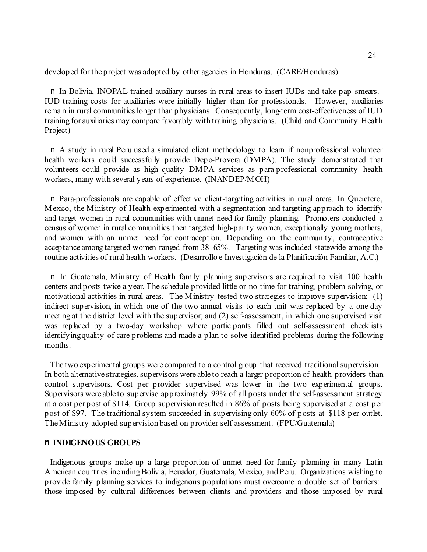developed for the project was adopted by other agencies in Honduras. (CARE/Honduras)

n In Bolivia, INOPAL trained auxiliary nurses in rural areas to insert IUDs and take pap smears. IUD training costs for auxiliaries were initially higher than for professionals. However, auxiliaries remain in rural communities longer than physicians. Consequently, long-term cost-effectiveness of IUD training for auxiliaries may compare favorably with training physicians. (Child and Community Health Project)

n A study in rural Peru used a simulated client methodology to learn if nonprofessional volunteer health workers could successfully provide Depo-Provera (DMPA). The study demonstrated that volunteers could provide as high quality DMPA services as para-professional community health workers, many with several years of experience. (INANDEP/MOH)

n Para-professionals are capable of effective client-targeting activities in rural areas. In Queretero, Mexico, the Ministry of Health experimented with a segmentation and targeting approach to identify and target women in rural communities with unmet need for family planning. Promoters conducted a census of women in rural communities then targeted high-parity women, exceptionally young mothers, and women with an unmet need for contraception. Depending on the community, contraceptive acceptance among targeted women ranged from 38–65%. Targeting was included statewide among the routine activities of rural health workers. (Desarrollo e Investigación de la Planificación Familiar, A.C.)

n In Guatemala, Ministry of Health family planning supervisors are required to visit 100 health centers and posts twice a year. The schedule provided little or no time for training, problem solving, or motivational activities in rural areas. The Ministry tested two strategies to improve supervision: (1) indirect supervision, in which one of the two annual visits to each unit was replaced by a one-day meeting at the district level with the supervisor; and (2) self-assessment, in which one supervised visit was replaced by a two-day workshop where participants filled out self-assessment checklists identifying quality-of-care problems and made a plan to solve identified problems during the following months.

The two experimental groups were compared to a control group that received traditional supervision. In both alternative strategies, supervisors were able to reach a larger proportion of health providers than control supervisors. Cost per provider supervised was lower in the two experimental groups. Supervisors were able to supervise approximately 99% of all posts under the self-assessment strategy at a cost per post of \$114. Group supervision resulted in 86% of posts being supervised at a cost per post of \$97. The traditional system succeeded in supervising only 60% of posts at \$118 per outlet. The Ministry adopted supervision based on provider self-assessment. (FPU/Guatemala)

#### n **INDIGENOUS GROUPS**

Indigenous groups make up a large proportion of unmet need for family planning in many Latin American countries including Bolivia, Ecuador, Guatemala, Mexico, and Peru. Organizations wishing to provide family planning services to indigenous populations must overcome a double set of barriers: those imposed by cultural differences between clients and providers and those imposed by rural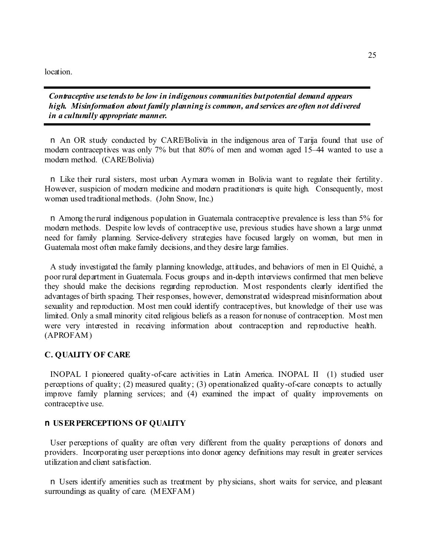location.

*Contraceptive use tends to be low in indigenous communities but potential demand appears high. Misinformation about family planning is common, and services are often not delivered in a culturally appropriate manner.* 

n An OR study conducted by CARE/Bolivia in the indigenous area of Tarija found that use of modern contraceptives was only 7% but that 80% of men and women aged 15–44 wanted to use a modern method. (CARE/Bolivia)

n Like their rural sisters, most urban Aymara women in Bolivia want to regulate their fertility. However, suspicion of modern medicine and modern practitioners is quite high. Consequently, most women used traditional methods. (John Snow, Inc.)

n Among the rural indigenous population in Guatemala contraceptive prevalence is less than 5% for modern methods. Despite low levels of contraceptive use, previous studies have shown a large unmet need for family planning. Service-delivery strategies have focused largely on women, but men in Guatemala most often make family decisions, and they desire large families.

A study investigated the family planning knowledge, attitudes, and behaviors of men in El Quiché, a poor rural department in Guatemala. Focus groups and in-depth interviews confirmed that men believe they should make the decisions regarding reproduction. Most respondents clearly identified the advantages of birth spacing. Their responses, however, demonstrated widespread misinformation about sexuality and reproduction. Most men could identify contraceptives, but knowledge of their use was limited. Only a small minority cited religious beliefs as a reason for nonuse of contraception. Most men were very interested in receiving information about contraception and reproductive health. (APROFAM)

### **C. QUALITY OF CARE**

INOPAL I pioneered quality-of-care activities in Latin America. INOPAL II (1) studied user perceptions of quality; (2) measured quality; (3) operationalized quality-of-care concepts to actually improve family planning services; and (4) examined the impact of quality improvements on contraceptive use.

### n **USER PERCEPTIONS OF QUALITY**

User perceptions of quality are often very different from the quality perceptions of donors and providers. Incorporating user perceptions into donor agency definitions may result in greater services utilization and client satisfaction.

n Users identify amenities such as treatment by physicians, short waits for service, and pleasant surroundings as quality of care. (MEXFAM)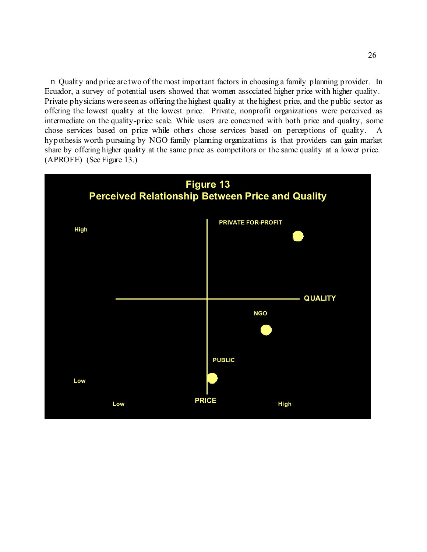n Quality and price are two of the most important factors in choosing a family planning provider. In Ecuador, a survey of potential users showed that women associated higher price with higher quality. Private physicians were seen as offering the highest quality at the highest price, and the public sector as offering the lowest quality at the lowest price. Private, nonprofit organizations were perceived as intermediate on the quality-price scale. While users are concerned with both price and quality, some chose services based on price while others chose services based on perceptions of quality. A hypothesis worth pursuing by NGO family planning organizations is that providers can gain market share by offering higher quality at the same price as competitors or the same quality at a lower price. (APROFE) (See Figure 13.)

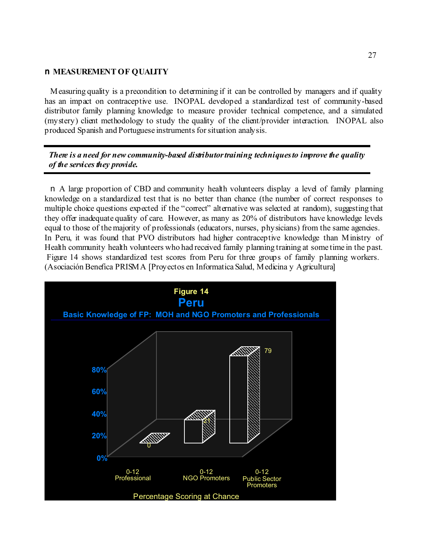### n **MEASUREMENT OF QUALITY**

Measuring quality is a precondition to determining if it can be controlled by managers and if quality has an impact on contraceptive use. INOPAL developed a standardized test of community-based distributor family planning knowledge to measure provider technical competence, and a simulated (mystery) client methodology to study the quality of the client/provider interaction. INOPAL also produced Spanish and Portuguese instruments for situation analysis.

*There is a need for new community-based distributor training techniques to improve the quality of the services they provide.*

n A large proportion of CBD and community health volunteers display a level of family planning knowledge on a standardized test that is no better than chance (the number of correct responses to multiple choice questions expected if the "correct" alternative was selected at random), suggesting that they offer inadequate quality of care. However, as many as 20% of distributors have knowledge levels equal to those of the majority of professionals (educators, nurses, physicians) from the same agencies. In Peru, it was found that PVO distributors had higher contraceptive knowledge than Ministry of Health community health volunteers who had received family planning training at some time in the past. Figure 14 shows standardized test scores from Peru for three groups of family planning workers. (Asociación Benefica PRISMA [Proyectos en Informatica Salud, Medicina y Agricultura]

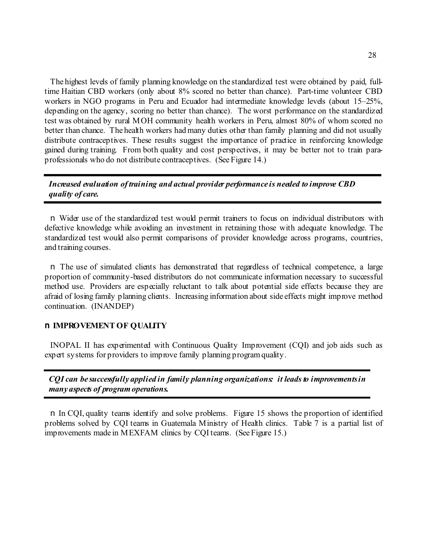The highest levels of family planning knowledge on the standardized test were obtained by paid, fulltime Haitian CBD workers (only about 8% scored no better than chance). Part-time volunteer CBD workers in NGO programs in Peru and Ecuador had intermediate knowledge levels (about 15–25%, depending on the agency, scoring no better than chance). The worst performance on the standardized test was obtained by rural MOH community health workers in Peru, almost 80% of whom scored no better than chance. The health workers had many duties other than family planning and did not usually distribute contraceptives. These results suggest the importance of practice in reinforcing knowledge gained during training. From both quality and cost perspectives, it may be better not to train paraprofessionals who do not distribute contraceptives. (See Figure 14.)

## *Increased evaluation of training and actual provider performance is needed to improve CBD quality of care.*

n Wider use of the standardized test would permit trainers to focus on individual distributors with defective knowledge while avoiding an investment in retraining those with adequate knowledge. The standardized test would also permit comparisons of provider knowledge across programs, countries, and training courses.

n The use of simulated clients has demonstrated that regardless of technical competence, a large proportion of community-based distributors do not communicate information necessary to successful method use. Providers are especially reluctant to talk about potential side effects because they are afraid of losing family planning clients. Increasing information about side effects might improve method continuation. (INANDEP)

### n **IMPROVEMENT OF QUALITY**

INOPAL II has experimented with Continuous Quality Improvement (CQI) and job aids such as expert systems for providers to improve family planning program quality.

*CQI can be successfully applied in family planning organizations: it leads to improvements in many aspects of program operations.*

n In CQI, quality teams identify and solve problems. Figure 15 shows the proportion of identified problems solved by CQI teams in Guatemala Ministry of Health clinics. Table 7 is a partial list of improvements made in MEXFAM clinics by CQI teams. (See Figure 15.)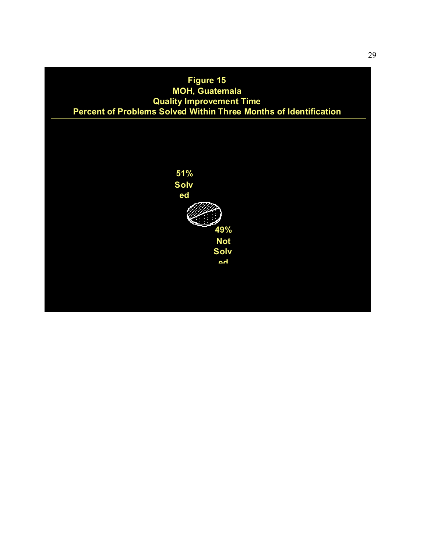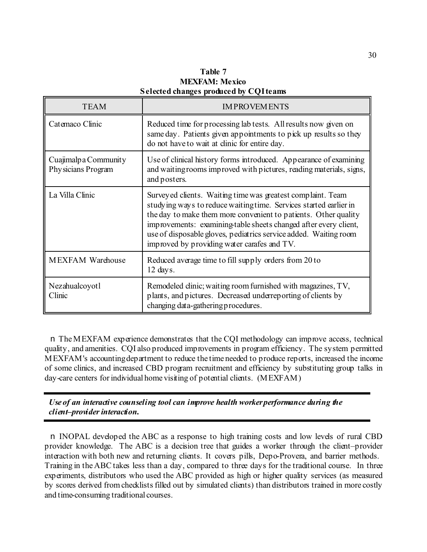**Table 7 MEXFAM: Mexico Selected changes produced by CQI teams**

| <b>TEAM</b>                                 | <b>IMPROVEMENTS</b>                                                                                                                                                                                                                                                                                                                                                                         |
|---------------------------------------------|---------------------------------------------------------------------------------------------------------------------------------------------------------------------------------------------------------------------------------------------------------------------------------------------------------------------------------------------------------------------------------------------|
| Catemaco Clinic                             | Reduced time for processing lab tests. All results now given on<br>same day. Patients given appointments to pick up results so they<br>do not have to wait at clinic for entire day.                                                                                                                                                                                                        |
| Cuajimalp a Community<br>Physicians Program | Use of clinical history forms introduced. Appearance of examining<br>and waiting rooms improved with pictures, reading materials, signs,<br>and posters.                                                                                                                                                                                                                                    |
| La Villa Clinic                             | Survey ed clients. Waiting time was greatest complaint. Team<br>studying ways to reduce waiting time. Services started earlier in<br>the day to make them more convenient to patients. Other quality<br>improvements: examining table sheets changed after every client,<br>use of disposable gloves, pediatrics service added. Waiting room<br>improved by providing water carafes and TV. |
| <b>MEXFAM Warehouse</b>                     | Reduced average time to fill supply orders from 20 to<br>$12 \text{ days}.$                                                                                                                                                                                                                                                                                                                 |
| Nezahualcoyotl<br>Clinic                    | Remodeled clinic; waiting room furnished with magazines, TV,<br>plants, and pictures. Decreased underreporting of clients by<br>changing data-gathering procedures.                                                                                                                                                                                                                         |

n The MEXFAM experience demonstrates that the CQI methodology can improve access, technical quality, and amenities. CQI also produced improvements in program efficiency. The system permitted MEXFAM's accounting department to reduce the time needed to produce reports, increased the income of some clinics, and increased CBD program recruitment and efficiency by substituting group talks in day-care centers for individual home visiting of potential clients. (MEXFAM)

*Use of an interactive counseling tool can improve health worker performance during the client–provider interaction.*

n INOPAL developed the ABC as a response to high training costs and low levels of rural CBD provider knowledge. The ABC is a decision tree that guides a worker through the client–provider interaction with both new and returning clients. It covers pills, Depo-Provera, and barrier methods. Training in the ABC takes less than a day, compared to three days for the traditional course. In three experiments, distributors who used the ABC provided as high or higher quality services (as measured by scores derived from checklists filled out by simulated clients) than distributors trained in more costly and time-consuming traditional courses.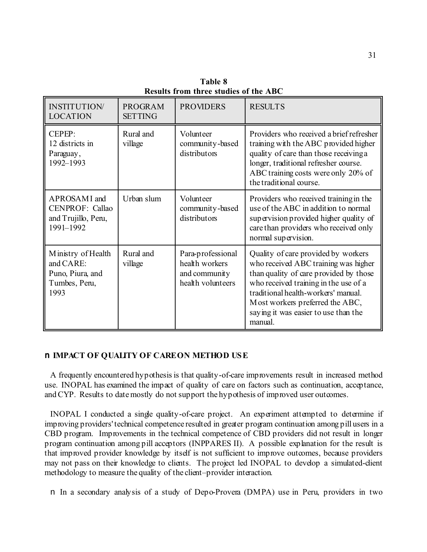| <b>INSTITUTION</b><br><b>LOCATION</b>                                        | <b>PROGRAM</b><br><b>SETTING</b> | <b>PROVIDERS</b>                                                          | <b>RESULTS</b>                                                                                                                                                                                                                                                                              |
|------------------------------------------------------------------------------|----------------------------------|---------------------------------------------------------------------------|---------------------------------------------------------------------------------------------------------------------------------------------------------------------------------------------------------------------------------------------------------------------------------------------|
| CEPEP:<br>12 districts in<br>Paraguay,<br>1992-1993                          | Rural and<br>village             | Volunteer<br>community-based<br>distributors                              | Providers who received a brief refresher<br>training with the ABC provided higher<br>quality of care than those receiving a<br>longer, traditional refresher course.<br>ABC training costs were only 20% of<br>the traditional course.                                                      |
| APROSAMI and<br><b>CENPROF: Callao</b><br>and Trujillo, Peru,<br>1991-1992   | Urban slum                       | Volunteer<br>community-based<br>distributors                              | Providers who received training in the<br>use of the ABC in addition to normal<br>supervision provided higher quality of<br>care than providers who received only<br>normal supervision.                                                                                                    |
| Ministry of Health<br>and CARE:<br>Puno, Piura, and<br>Tumbes, Peru,<br>1993 | Rural and<br>village             | Para-professional<br>health workers<br>and community<br>health volunteers | Quality of care provided by workers<br>who received ABC training was higher<br>than quality of care provided by those<br>who received training in the use of a<br>traditional health-workers' manual.<br>Most workers preferred the ABC,<br>saying it was easier to use than the<br>manual. |

**Table 8 Results from three studies of the ABC**

## n **IMPACT OF QUALITY OF CARE ON METHOD USE**

A frequently encountered hypothesis is that quality-of-care improvements result in increased method use. INOPAL has examined the impact of quality of care on factors such as continuation, acceptance, and CYP. Results to date mostly do not support the hypothesis of improved user outcomes.

INOPAL I conducted a single quality-of-care project. An experiment attempted to determine if improving providers' technical competence resulted in greater program continuation among pill users in a CBD program. Improvements in the technical competence of CBD providers did not result in longer program continuation among pill acceptors (INPPARES II). A possible explanation for the result is that improved provider knowledge by itself is not sufficient to improve outcomes, because providers may not pass on their knowledge to clients. The project led INOPAL to develop a simulated-client methodology to measure the quality of the client–provider interaction.

n In a secondary analysis of a study of Depo-Provera (DMPA) use in Peru, providers in two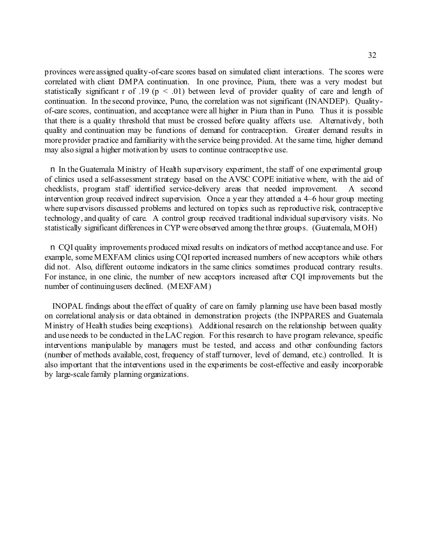provinces were assigned quality-of-care scores based on simulated client interactions. The scores were correlated with client DMPA continuation. In one province, Piura, there was a very modest but statistically significant r of .19 ( $p < .01$ ) between level of provider quality of care and length of continuation. In the second province, Puno, the correlation was not significant (INANDEP). Qualityof-care scores, continuation, and acceptance were all higher in Piura than in Puno. Thus it is possible that there is a quality threshold that must be crossed before quality affects use. Alternatively, both quality and continuation may be functions of demand for contraception. Greater demand results in more provider practice and familiarity with the service being provided. At the same time, higher demand may also signal a higher motivation by users to continue contraceptive use.

n In the Guatemala Ministry of Health supervisory experiment, the staff of one experimental group of clinics used a self-assessment strategy based on the AVSC COPE initiative where, with the aid of checklists, program staff identified service-delivery areas that needed improvement. A second intervention group received indirect supervision. Once a year they attended a 4–6 hour group meeting where supervisors discussed problems and lectured on topics such as reproductive risk, contraceptive technology, and quality of care. A control group received traditional individual supervisory visits. No statistically significant differences in CYP were observed among the three groups. (Guatemala, MOH)

n CQI quality improvements produced mixed results on indicators of method acceptance and use. For example, some MEXFAM clinics using CQI reported increased numbers of new acceptors while others did not. Also, different outcome indicators in the same clinics sometimes produced contrary results. For instance, in one clinic, the number of new acceptors increased after CQI improvements but the number of continuing users declined. (MEXFAM)

 INOPAL findings about the effect of quality of care on family planning use have been based mostly on correlational analysis or data obtained in demonstration projects (the INPPARES and Guatemala Ministry of Health studies being exceptions). Additional research on the relationship between quality and use needs to be conducted in the LAC region. For this research to have program relevance, specific interventions manipulable by managers must be tested, and access and other confounding factors (number of methods available, cost, frequency of staff turnover, level of demand, etc.) controlled. It is also important that the interventions used in the experiments be cost-effective and easily incorporable by large-scale family planning organizations.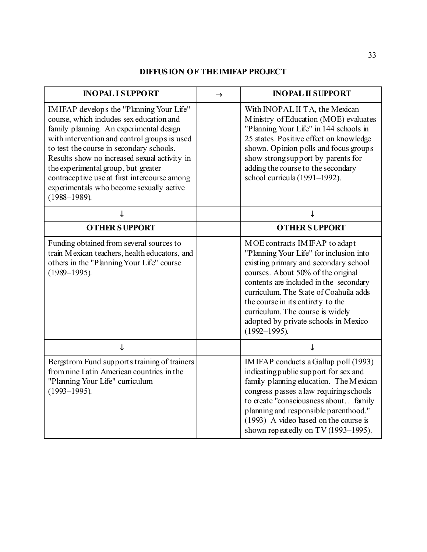## **DIFFUSION OF THE IMIFAP PROJECT**

| <b>INOPAL I SUPPORT</b>                                                                                                                                                                                                                                                                                                                                                                                                             | $\rightarrow$ | <b>INOPAL II SUPPORT</b>                                                                                                                                                                                                                                                                                                                                                          |
|-------------------------------------------------------------------------------------------------------------------------------------------------------------------------------------------------------------------------------------------------------------------------------------------------------------------------------------------------------------------------------------------------------------------------------------|---------------|-----------------------------------------------------------------------------------------------------------------------------------------------------------------------------------------------------------------------------------------------------------------------------------------------------------------------------------------------------------------------------------|
| IMIFAP develops the "Planning Your Life"<br>course, which includes sex education and<br>family planning. An experimental design<br>with intervention and control groups is used<br>to test the course in secondary schools.<br>Results show no increased sexual activity in<br>the experimental group, but greater<br>contraceptive use at first intercourse among<br>experimentals who become sexually active<br>$(1988 - 1989)$ . |               | With INOPAL II TA, the Mexican<br>Ministry of Education (MOE) evaluates<br>"Planning Your Life" in 144 schools in<br>25 states. Positive effect on knowledge<br>shown. Opinion polls and focus groups<br>show strong support by parents for<br>adding the course to the secondary<br>school curricula (1991-1992).                                                                |
| ↓                                                                                                                                                                                                                                                                                                                                                                                                                                   |               | ↓                                                                                                                                                                                                                                                                                                                                                                                 |
| <b>OTHER SUPPORT</b>                                                                                                                                                                                                                                                                                                                                                                                                                |               | <b>OTHER SUPPORT</b>                                                                                                                                                                                                                                                                                                                                                              |
| Funding obtained from several sources to<br>train Mexican teachers, health educators, and<br>others in the "Planning Your Life" course<br>$(1989 - 1995)$ .                                                                                                                                                                                                                                                                         |               | MOE contracts IMIFAP to adapt<br>"Planning Your Life" for inclusion into<br>existing primary and secondary school<br>courses. About 50% of the original<br>contents are included in the secondary<br>curriculum. The State of Coahuila adds<br>the course in its entirety to the<br>curriculum. The course is widely<br>adopted by private schools in Mexico<br>$(1992 - 1995)$ . |
| ↓                                                                                                                                                                                                                                                                                                                                                                                                                                   |               | ↓                                                                                                                                                                                                                                                                                                                                                                                 |
| Bergstrom Fund supports training of trainers<br>from nine Latin American countries in the<br>"Planning Your Life" curriculum<br>$(1993 - 1995)$ .                                                                                                                                                                                                                                                                                   |               | IMIFAP conducts a Gallup poll (1993)<br>indicating public support for sex and<br>family planning education. The Mexican<br>congress passes a law requiring schools<br>to create "consciousness aboutfamily<br>planning and responsible parenthood."<br>(1993) A video based on the course is<br>shown repeatedly on TV (1993–1995).                                               |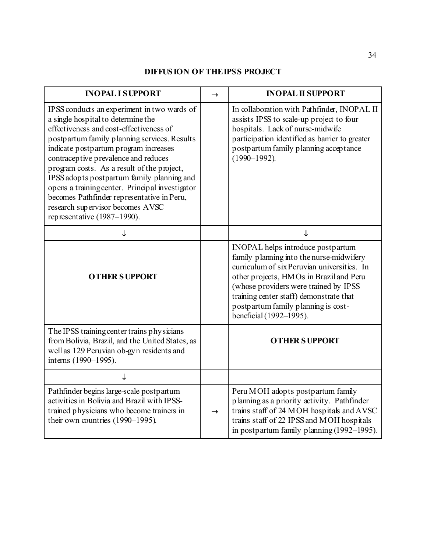## **DIFFUSION OF THE IPSS PROJECT**

| <b>INOPALISUPPORT</b>                                                                                                                                                                                                                                                                                                                                                                                                                                                                                                         | $\rightarrow$ | <b>INOPAL II SUPPORT</b>                                                                                                                                                                                                                                                                                                      |
|-------------------------------------------------------------------------------------------------------------------------------------------------------------------------------------------------------------------------------------------------------------------------------------------------------------------------------------------------------------------------------------------------------------------------------------------------------------------------------------------------------------------------------|---------------|-------------------------------------------------------------------------------------------------------------------------------------------------------------------------------------------------------------------------------------------------------------------------------------------------------------------------------|
| IPSS conducts an experiment in two wards of<br>a single hospital to determine the<br>effectiveness and cost-effectiveness of<br>postpartum family planning services. Results<br>indicate postpartum program increases<br>contraceptive prevalence and reduces<br>program costs. As a result of the project,<br>IPSS adopts postpartum family planning and<br>opens a training center. Principal investigator<br>becomes Pathfinder representative in Peru,<br>research supervisor becomes AVSC<br>representative (1987-1990). |               | In collaboration with Pathfinder, INOPAL II<br>assists IPSS to scale-up project to four<br>hospitals. Lack of nurse-midwife<br>participation identified as barrier to greater<br>postpartum family planning acceptance<br>$(1990 - 1992)$ .                                                                                   |
|                                                                                                                                                                                                                                                                                                                                                                                                                                                                                                                               |               | T                                                                                                                                                                                                                                                                                                                             |
| <b>OTHER SUPPORT</b>                                                                                                                                                                                                                                                                                                                                                                                                                                                                                                          |               | INOPAL helps introduce postpartum<br>family planning into the nurse-midwifery<br>curriculum of six Peruvian universities. In<br>other projects, HMOs in Brazil and Peru<br>(whose providers were trained by IPSS<br>training center staff) demonstrate that<br>postpartum family planning is cost-<br>beneficial (1992-1995). |
| The IPSS training center trains physicians<br>from Bolivia, Brazil, and the United States, as<br>well as 129 Peruvian ob-gyn residents and<br>interns (1990-1995).                                                                                                                                                                                                                                                                                                                                                            |               | <b>OTHER SUPPORT</b>                                                                                                                                                                                                                                                                                                          |
| J                                                                                                                                                                                                                                                                                                                                                                                                                                                                                                                             |               |                                                                                                                                                                                                                                                                                                                               |
| Pathfinder begins large-scale postpartum<br>activities in Bolivia and Brazil with IPSS-<br>trained physicians who become trainers in<br>their own countries (1990-1995).                                                                                                                                                                                                                                                                                                                                                      | $\rightarrow$ | Peru MOH adopts postpartum family<br>planning as a priority activity. Pathfinder<br>trains staff of 24 MOH hospitals and AVSC<br>trains staff of 22 IPSS and MOH hospitals<br>in postpartum family planning (1992-1995).                                                                                                      |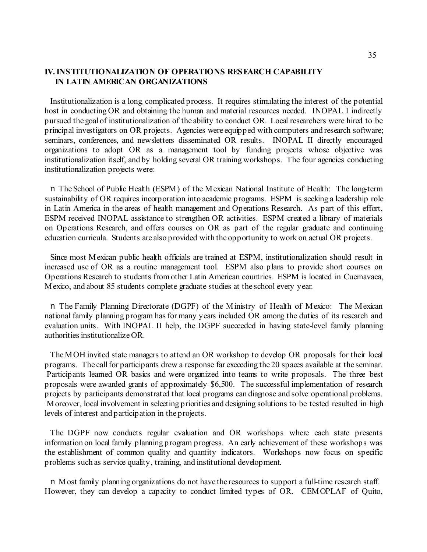### **IV. INSTITUTIONALIZATION OF OPERATIONS RESEARCH CAPABILITY IN LATIN AMERICAN ORGANIZATIONS**

Institutionalization is a long, complicated process. It requires stimulating the interest of the potential host in conducting OR and obtaining the human and material resources needed. INOPAL I indirectly pursued the goal of institutionalization of the ability to conduct OR. Local researchers were hired to be principal investigators on OR projects. Agencies were equipped with computers and research software; seminars, conferences, and newsletters disseminated OR results. INOPAL II directly encouraged organizations to adopt OR as a management tool by funding projects whose objective was institutionalization itself, and by holding several OR training workshops. The four agencies conducting institutionalization projects were:

n The School of Public Health (ESPM) of the Mexican National Institute of Health: The long-term sustainability of OR requires incorporation into academic programs. ESPM is seeking a leadership role in Latin America in the areas of health management and Operations Research. As part of this effort, ESPM received INOPAL assistance to strengthen OR activities. ESPM created a library of materials on Operations Research, and offers courses on OR as part of the regular graduate and continuing education curricula. Students are also provided with the opportunity to work on actual OR projects.

Since most Mexican public health officials are trained at ESPM, institutionalization should result in increased use of OR as a routine management tool. ESPM also plans to provide short courses on Operations Research to students from other Latin American countries. ESPM is located in Cuernavaca, Mexico, and about 85 students complete graduate studies at the school every year.

n The Family Planning Directorate (DGPF) of the Ministry of Health of Mexico: The Mexican national family planning program has for many years included OR among the duties of its research and evaluation units. With INOPAL II help, the DGPF succeeded in having state-level family planning authorities institutionalize OR.

The MOH invited state managers to attend an OR workshop to develop OR proposals for their local programs. The call for participants drew a response far exceeding the 20 spaces available at the seminar. Participants learned OR basics and were organized into teams to write proposals. The three best proposals were awarded grants of approximately \$6,500. The successful implementation of research projects by participants demonstrated that local programs can diagnose and solve operational problems. Moreover, local involvement in selecting priorities and designing solutions to be tested resulted in high levels of interest and participation in the projects.

The DGPF now conducts regular evaluation and OR workshops where each state presents information on local family planning program progress. An early achievement of these workshops was the establishment of common quality and quantity indicators. Workshops now focus on specific problems such as service quality, training, and institutional development.

n Most family planning organizations do not have the resources to support a full-time research staff. However, they can develop a capacity to conduct limited types of OR. CEMOPLAF of Quito,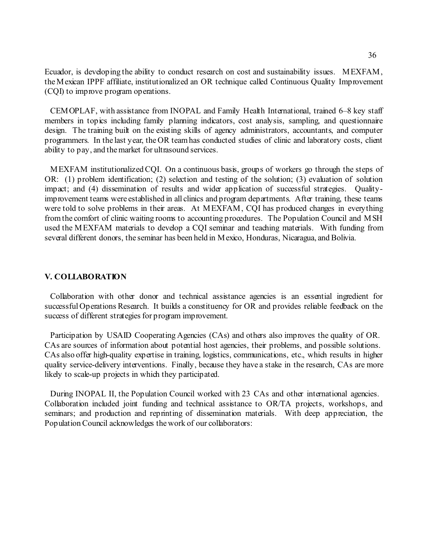Ecuador, is developing the ability to conduct research on cost and sustainability issues. MEXFAM, the Mexican IPPF affiliate, institutionalized an OR technique called Continuous Quality Improvement (CQI) to improve program operations.

CEMOPLAF, with assistance from INOPAL and Family Health International, trained 6–8 key staff members in topics including family planning indicators, cost analysis, sampling, and questionnaire design. The training built on the existing skills of agency administrators, accountants, and computer programmers. In the last year, the OR team has conducted studies of clinic and laboratory costs, client ability to pay, and the market for ultrasound services.

MEXFAM institutionalized CQI. On a continuous basis, groups of workers go through the steps of OR: (1) problem identification; (2) selection and testing of the solution; (3) evaluation of solution impact; and (4) dissemination of results and wider application of successful strategies. Qualityimprovement teams were established in all clinics and program departments. After training, these teams were told to solve problems in their areas. At MEXFAM, CQI has produced changes in everything from the comfort of clinic waiting rooms to accounting procedures. The Population Council and MSH used the MEXFAM materials to develop a CQI seminar and teaching materials. With funding from several different donors, the seminar has been held in Mexico, Honduras, Nicaragua, and Bolivia.

#### **V. COLLABORATION**

Collaboration with other donor and technical assistance agencies is an essential ingredient for successful Operations Research. It builds a constituency for OR and provides reliable feedback on the success of different strategies for program improvement.

Participation by USAID Cooperating Agencies (CAs) and others also improves the quality of OR. CAs are sources of information about potential host agencies, their problems, and possible solutions. CAs also offer high-quality expertise in training, logistics, communications, etc., which results in higher quality service-delivery interventions. Finally, because they have a stake in the research, CAs are more likely to scale-up projects in which they participated.

During INOPAL II, the Population Council worked with 23 CAs and other international agencies. Collaboration included joint funding and technical assistance to OR/TA projects, workshops, and seminars; and production and reprinting of dissemination materials. With deep appreciation, the Population Council acknowledges the work of our collaborators: